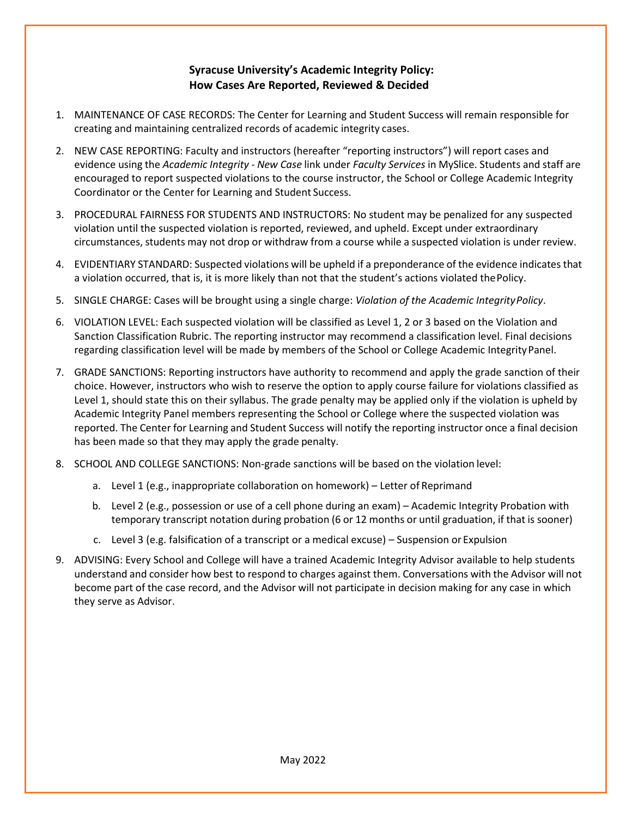## **Syracuse University's Academic Integrity Policy: How Cases Are Reported, Reviewed & Decided**

- 1. MAINTENANCE OF CASE RECORDS: The Center for Learning and Student Success will remain responsible for creating and maintaining centralized records of academic integrity cases.
- 2. NEW CASE REPORTING: Faculty and instructors (hereafter "reporting instructors") will report cases and evidence using the *Academic Integrity - New Case* link under *Faculty Services* in MySlice. Students and staff are encouraged to report suspected violations to the course instructor, the School or College Academic Integrity Coordinator or the Center for Learning and Student Success.
- 3. PROCEDURAL FAIRNESS FOR STUDENTS AND INSTRUCTORS: No student may be penalized for any suspected violation until the suspected violation is reported, reviewed, and upheld. Except under extraordinary circumstances, students may not drop or withdraw from a course while a suspected violation is under review.
- 4. EVIDENTIARY STANDARD: Suspected violations will be upheld if a preponderance of the evidence indicates that a violation occurred, that is, it is more likely than not that the student's actions violated thePolicy.
- 5. SINGLE CHARGE: Cases will be brought using a single charge: *Violation of the Academic IntegrityPolicy*.
- 6. VIOLATION LEVEL: Each suspected violation will be classified as Level 1, 2 or 3 based on the Violation and Sanction Classification Rubric. The reporting instructor may recommend a classification level. Final decisions regarding classification level will be made by members of the School or College Academic IntegrityPanel.
- 7. GRADE SANCTIONS: Reporting instructors have authority to recommend and apply the grade sanction of their choice. However, instructors who wish to reserve the option to apply course failure for violations classified as Level 1, should state this on their syllabus. The grade penalty may be applied only if the violation is upheld by Academic Integrity Panel members representing the School or College where the suspected violation was reported. The Center for Learning and Student Success will notify the reporting instructor once a final decision has been made so that they may apply the grade penalty.
- 8. SCHOOL AND COLLEGE SANCTIONS: Non-grade sanctions will be based on the violation level:
	- a. Level 1 (e.g., inappropriate collaboration on homework) Letter of Reprimand
	- b. Level 2 (e.g., possession or use of a cell phone during an exam) Academic Integrity Probation with temporary transcript notation during probation (6 or 12 months or until graduation, if that is sooner)
	- c. Level 3 (e.g. falsification of a transcript or a medical excuse) Suspension or Expulsion
- 9. ADVISING: Every School and College will have a trained Academic Integrity Advisor available to help students understand and consider how best to respond to charges against them. Conversations with the Advisor will not become part of the case record, and the Advisor will not participate in decision making for any case in which they serve as Advisor.